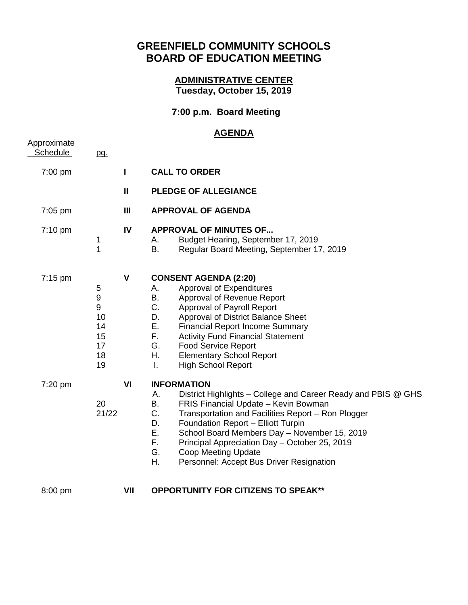## **GREENFIELD COMMUNITY SCHOOLS BOARD OF EDUCATION MEETING**

## **ADMINISTRATIVE CENTER Tuesday, October 15, 2019**

## **7:00 p.m. Board Meeting**

## **AGENDA**

| Approximate<br><b>Schedule</b> | pg.                                                                           |                |                                                                                                                                                                                                                                                                                                                                                                                                                                                    |
|--------------------------------|-------------------------------------------------------------------------------|----------------|----------------------------------------------------------------------------------------------------------------------------------------------------------------------------------------------------------------------------------------------------------------------------------------------------------------------------------------------------------------------------------------------------------------------------------------------------|
| 7:00 pm                        |                                                                               | L              | <b>CALL TO ORDER</b>                                                                                                                                                                                                                                                                                                                                                                                                                               |
|                                |                                                                               | $\mathbf{I}$   | <b>PLEDGE OF ALLEGIANCE</b>                                                                                                                                                                                                                                                                                                                                                                                                                        |
| $7:05$ pm                      |                                                                               | $\mathbf{III}$ | <b>APPROVAL OF AGENDA</b>                                                                                                                                                                                                                                                                                                                                                                                                                          |
| $7:10 \text{ pm}$              | 1<br>1                                                                        | IV             | <b>APPROVAL OF MINUTES OF</b><br>Budget Hearing, September 17, 2019<br>А.<br>B.<br>Regular Board Meeting, September 17, 2019                                                                                                                                                                                                                                                                                                                       |
| $7:15 \text{ pm}$              | 5<br>$\boldsymbol{9}$<br>$\boldsymbol{9}$<br>10<br>14<br>15<br>17<br>18<br>19 | $\mathbf{V}$   | <b>CONSENT AGENDA (2:20)</b><br>Approval of Expenditures<br>Α.<br>В.<br>Approval of Revenue Report<br>C.<br>Approval of Payroll Report<br>Approval of District Balance Sheet<br>D.<br>Ε.<br><b>Financial Report Income Summary</b><br>F.<br><b>Activity Fund Financial Statement</b><br>G.<br><b>Food Service Report</b><br>Η.<br><b>Elementary School Report</b><br><b>High School Report</b><br>I.                                               |
| $7:20$ pm                      | 20<br>21/22                                                                   | VI             | <b>INFORMATION</b><br>District Highlights – College and Career Ready and PBIS @ GHS<br>А.<br>В.<br>FRIS Financial Update - Kevin Bowman<br>C.<br>Transportation and Facilities Report - Ron Plogger<br>D.<br>Foundation Report - Elliott Turpin<br>Ε.<br>School Board Members Day - November 15, 2019<br>F.<br>Principal Appreciation Day - October 25, 2019<br>G.<br><b>Coop Meeting Update</b><br>Η.<br>Personnel: Accept Bus Driver Resignation |
| 8:00 pm                        |                                                                               | VII            | <b>OPPORTUNITY FOR CITIZENS TO SPEAK**</b>                                                                                                                                                                                                                                                                                                                                                                                                         |